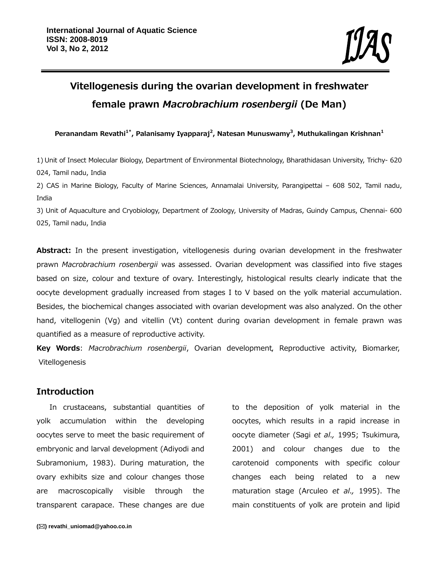

# **Vitellogenesis during the ovarian development in freshwater female prawn** *Macrobrachium rosenbergii* **(De Man)**

Peranandam Revathi<sup>1\*</sup>, Palanisamy Iyapparaj<sup>2</sup>, Natesan Munuswamy<sup>3</sup>, Muthukalingan Krishnan<sup>1</sup>

1) Unit of Insect Molecular Biology, Department of Environmental Biotechnology, Bharathidasan University, Trichy- 620 024, Tamil nadu, India

2) CAS in Marine Biology, Faculty of Marine Sciences, Annamalai University, Parangipettai – 608 502, Tamil nadu, India

3) Unit of Aquaculture and Cryobiology, Department of Zoology, University of Madras, Guindy Campus, Chennai- 600 025, Tamil nadu, India

**Abstract:** In the present investigation, vitellogenesis during ovarian development in the freshwater prawn *Macrobrachium rosenbergii* was assessed. Ovarian development was classified into five stages based on size, colour and texture of ovary. Interestingly, histological results clearly indicate that the oocyte development gradually increased from stages I to V based on the yolk material accumulation. Besides, the biochemical changes associated with ovarian development was also analyzed. On the other hand, vitellogenin (Vg) and vitellin (Vt) content during ovarian development in female prawn was quantified as a measure of reproductive activity.

**Key Words**: *Macrobrachium rosenbergii*, Ovarian development, Reproductive activity, Biomarker, Vitellogenesis

# **Introduction**

In crustaceans, substantial quantities of yolk accumulation within the developing oocytes serve to meet the basic requirement of embryonic and larval development (Adiyodi and Subramonium, 1983). During maturation, the ovary exhibits size and colour changes those are macroscopically visible through the transparent carapace. These changes are due

to the deposition of yolk material in the oocytes, which results in a rapid increase in oocyte diameter (Sagi *et al.,* 1995; Tsukimura, 2001) and colour changes due to the carotenoid components with specific colour changes each being related to a new maturation stage (Arculeo *et al.,* 1995). The main constituents of yolk are protein and lipid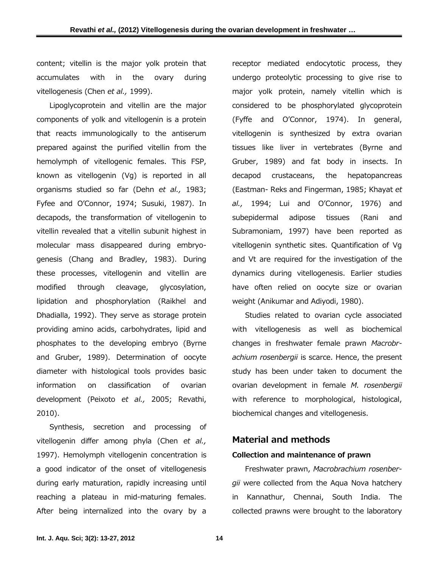content; vitellin is the major yolk protein that accumulates with in the ovary during vitellogenesis (Chen *et al.,* 1999).

Lipoglycoprotein and vitellin are the major components of yolk and vitellogenin is a protein that reacts immunologically to the antiserum prepared against the purified vitellin from the hemolymph of vitellogenic females. This FSP, known as vitellogenin (Vg) is reported in all organisms studied so far (Dehn *et al.,* 1983; Fyfee and O'Connor, 1974; Susuki, 1987). In decapods, the transformation of vitellogenin to vitellin revealed that a vitellin subunit highest in molecular mass disappeared during embryogenesis (Chang and Bradley, 1983). During these processes, vitellogenin and vitellin are modified through cleavage, glycosylation, lipidation and phosphorylation (Raikhel and Dhadialla, 1992). They serve as storage protein providing amino acids, carbohydrates, lipid and phosphates to the developing embryo (Byrne and Gruber, 1989). Determination of oocyte diameter with histological tools provides basic information on classification of ovarian development (Peixoto *et al.,* 2005; Revathi, 2010).

Synthesis, secretion and processing of vitellogenin differ among phyla (Chen *et al.,* 1997). Hemolymph vitellogenin concentration is a good indicator of the onset of vitellogenesis during early maturation, rapidly increasing until reaching a plateau in mid-maturing females. After being internalized into the ovary by a

receptor mediated endocytotic process, they undergo proteolytic processing to give rise to major yolk protein, namely vitellin which is considered to be phosphorylated glycoprotein (Fyffe and O'Connor, 1974). In general, vitellogenin is synthesized by extra ovarian tissues like liver in vertebrates (Byrne and Gruber, 1989) and fat body in insects. In decapod crustaceans, the hepatopancreas (Eastman- Reks and Fingerman, 1985; Khayat *et al.,* 1994; Lui and O'Connor, 1976) and subepidermal adipose tissues (Rani and Subramoniam, 1997) have been reported as vitellogenin synthetic sites. Quantification of Vg and Vt are required for the investigation of the dynamics during vitellogenesis. Earlier studies have often relied on oocyte size or ovarian weight (Anikumar and Adiyodi, 1980).

Studies related to ovarian cycle associated with vitellogenesis as well as biochemical changes in freshwater female prawn *Macrobrachium rosenbergii* is scarce. Hence, the present study has been under taken to document the ovarian development in female *M. rosenbergii* with reference to morphological, histological, biochemical changes and vitellogenesis.

## **Material and methods**

## **Collection and maintenance of prawn**

Freshwater prawn, *Macrobrachium rosenbergii* were collected from the Aqua Nova hatchery in Kannathur, Chennai, South India. The collected prawns were brought to the laboratory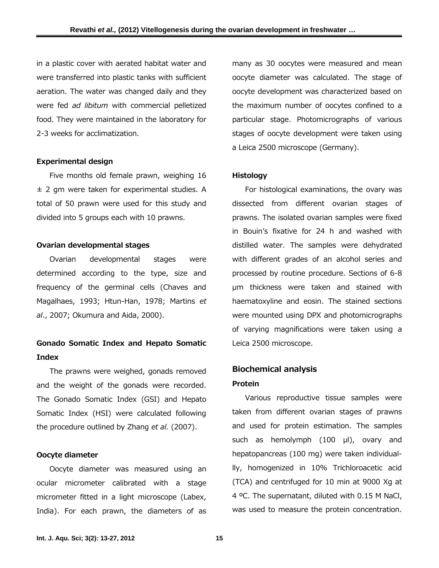in a plastic cover with aerated habitat water and were transferred into plastic tanks with sufficient aeration. The water was changed daily and they were fed *ad libitum* with commercial pelletized food. They were maintained in the laboratory for 2-3 weeks for acclimatization.

## **Experimental design**

Five months old female prawn, weighing 16  $±$  2 gm were taken for experimental studies. A total of 50 prawn were used for this study and divided into 5 groups each with 10 prawns.

## **Ovarian developmental stages**

Ovarian developmental stages were determined according to the type, size and frequency of the germinal cells (Chaves and Magalhaes, 1993; Htun-Han, 1978; Martins *et al*., 2007; Okumura and Aida, 2000).

# **Gonado Somatic Index and Hepato Somatic Index**

The prawns were weighed, gonads removed and the weight of the gonads were recorded. The Gonado Somatic Index (GSI) and Hepato Somatic Index (HSI) were calculated following the procedure outlined by Zhang *et al.* (2007).

## **Oocyte diameter**

Oocyte diameter was measured using an ocular micrometer calibrated with a stage micrometer fitted in a light microscope (Labex, India). For each prawn, the diameters of as

many as 30 oocytes were measured and mean oocyte diameter was calculated. The stage of oocyte development was characterized based on the maximum number of oocytes confined to a particular stage. Photomicrographs of various stages of oocyte development were taken using a Leica 2500 microscope (Germany).

## **Histology**

For histological examinations, the ovary was dissected from different ovarian stages of prawns. The isolated ovarian samples were fixed in Bouin's fixative for 24 h and washed with distilled water. The samples were dehydrated with different grades of an alcohol series and processed by routine procedure. Sections of 6-8 µm thickness were taken and stained with haematoxyline and eosin. The stained sections were mounted using DPX and photomicrographs of varying magnifications were taken using a Leica 2500 microscope.

## **Biochemical analysis**

## **Protein**

Various reproductive tissue samples were taken from different ovarian stages of prawns and used for protein estimation. The samples such as hemolymph (100 µl), ovary and hepatopancreas (100 mg) were taken individuallly, homogenized in 10% Trichloroacetic acid (TCA) and centrifuged for 10 min at 9000 Xg at 4 ºC. The supernatant, diluted with 0.15 M NaCl, was used to measure the protein concentration.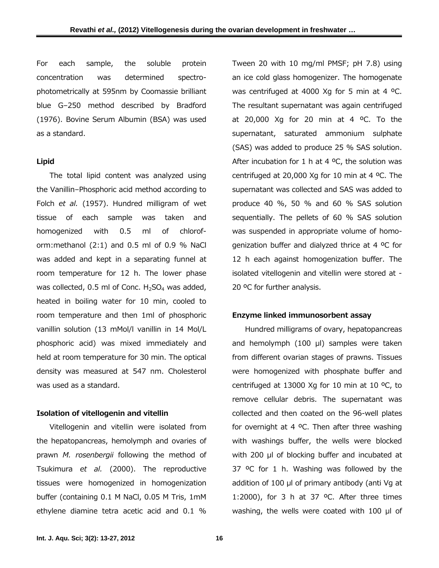For each sample, the soluble protein concentration was determined spectrophotometrically at 595nm by Coomassie brilliant blue G–250 method described by Bradford (1976). Bovine Serum Albumin (BSA) was used as a standard.

## **Lipid**

The total lipid content was analyzed using the Vanillin–Phosphoric acid method according to Folch *et al.* (1957). Hundred milligram of wet tissue of each sample was taken and homogenized with 0.5 ml of chloroform:methanol (2:1) and 0.5 ml of 0.9 % NaCl was added and kept in a separating funnel at room temperature for 12 h. The lower phase was collected,  $0.5$  ml of Conc.  $H_2SO_4$  was added, heated in boiling water for 10 min, cooled to room temperature and then 1ml of phosphoric vanillin solution (13 mMol/l vanillin in 14 Mol/L phosphoric acid) was mixed immediately and held at room temperature for 30 min. The optical density was measured at 547 nm. Cholesterol was used as a standard.

## **Isolation of vitellogenin and vitellin**

Vitellogenin and vitellin were isolated from the hepatopancreas, hemolymph and ovaries of prawn *M. rosenbergii* following the method of Tsukimura *et al.* (2000). The reproductive tissues were homogenized in homogenization buffer (containing 0.1 M NaCl, 0.05 M Tris, 1mM ethylene diamine tetra acetic acid and 0.1 %

Tween 20 with 10 mg/ml PMSF; pH 7.8) using an ice cold glass homogenizer. The homogenate was centrifuged at 4000 Xg for 5 min at 4 ºC. The resultant supernatant was again centrifuged at 20,000 Xg for 20 min at 4  $^{\circ}$ C. To the supernatant, saturated ammonium sulphate (SAS) was added to produce 25 % SAS solution. After incubation for 1 h at 4  $^{\circ}$ C, the solution was centrifuged at 20,000 Xg for 10 min at 4  $^{\circ}$ C. The supernatant was collected and SAS was added to produce 40 %, 50 % and 60 % SAS solution sequentially. The pellets of 60 % SAS solution was suspended in appropriate volume of homogenization buffer and dialyzed thrice at 4 ºC for 12 h each against homogenization buffer. The isolated vitellogenin and vitellin were stored at - 20 ºC for further analysis.

## **Enzyme linked immunosorbent assay**

Hundred milligrams of ovary, hepatopancreas and hemolymph  $(100 \mu l)$  samples were taken from different ovarian stages of prawns. Tissues were homogenized with phosphate buffer and centrifuged at 13000 Xg for 10 min at 10  $^{\circ}$ C, to remove cellular debris. The supernatant was collected and then coated on the 96-well plates for overnight at 4  $^{\circ}$ C. Then after three washing with washings buffer, the wells were blocked with 200 µl of blocking buffer and incubated at 37 ºC for 1 h. Washing was followed by the addition of 100 µl of primary antibody (anti Vg at 1:2000), for 3 h at 37 ºC. After three times washing, the wells were coated with 100 µl of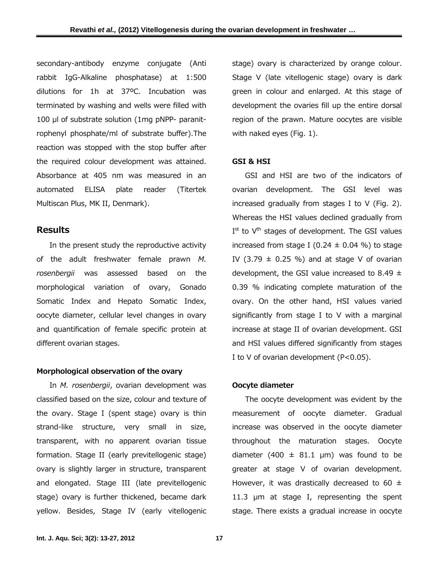secondary-antibody enzyme conjugate (Anti rabbit IgG-Alkaline phosphatase) at 1:500 dilutions for 1h at 37ºC. Incubation was terminated by washing and wells were filled with 100 ul of substrate solution (1mg pNPP- paranitrophenyl phosphate/ml of substrate buffer).The reaction was stopped with the stop buffer after the required colour development was attained. Absorbance at 405 nm was measured in an automated ELISA plate reader (Titertek Multiscan Plus, MK II, Denmark).

## **Results**

In the present study the reproductive activity of the adult freshwater female prawn *M. rosenbergii* was assessed based on the morphological variation of ovary, Gonado Somatic Index and Hepato Somatic Index, oocyte diameter, cellular level changes in ovary and quantification of female specific protein at different ovarian stages.

## **Morphological observation of the ovary**

In *M. rosenbergii*, ovarian development was classified based on the size, colour and texture of the ovary. Stage I (spent stage) ovary is thin strand-like structure, very small in size, transparent, with no apparent ovarian tissue formation. Stage II (early previtellogenic stage) ovary is slightly larger in structure, transparent and elongated. Stage III (late previtellogenic stage) ovary is further thickened, became dark yellow. Besides, Stage IV (early vitellogenic

stage) ovary is characterized by orange colour. Stage V (late vitellogenic stage) ovary is dark green in colour and enlarged. At this stage of development the ovaries fill up the entire dorsal region of the prawn. Mature oocytes are visible with naked eyes (Fig. 1).

## **GSI & HSI**

GSI and HSI are two of the indicators of ovarian development. The GSI level was increased gradually from stages I to V (Fig. 2). Whereas the HSI values declined gradually from  $I^{st}$  to  $V^{th}$  stages of development. The GSI values increased from stage I (0.24  $\pm$  0.04 %) to stage IV (3.79  $\pm$  0.25 %) and at stage V of ovarian development, the GSI value increased to 8.49  $\pm$ 0.39 % indicating complete maturation of the ovary. On the other hand, HSI values varied significantly from stage I to V with a marginal increase at stage II of ovarian development. GSI and HSI values differed significantly from stages I to V of ovarian development (P<0.05).

## **Oocyte diameter**

The oocyte development was evident by the measurement of oocyte diameter. Gradual increase was observed in the oocyte diameter throughout the maturation stages. Oocyte diameter (400  $\pm$  81.1 µm) was found to be greater at stage V of ovarian development. However, it was drastically decreased to 60  $\pm$ 11.3 µm at stage I, representing the spent stage. There exists a gradual increase in oocyte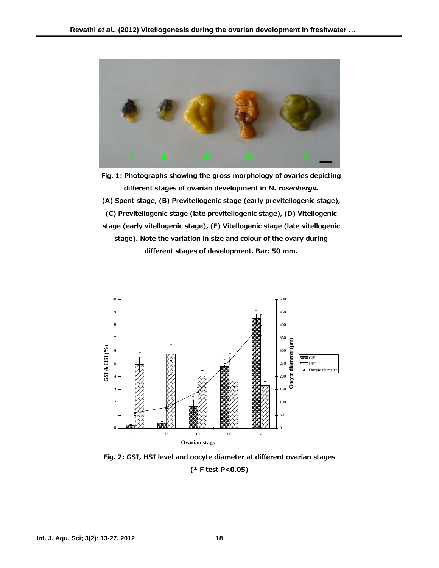

**Fig. 1: Photographs showing the gross morphology of ovaries depicting different stages of ovarian development in** *M. rosenbergii.* **(A) Spent stage, (B) Previtellogenic stage (early previtellogenic stage), (C) Previtellogenic stage (late previtellogenic stage), (D) Vitellogenic stage (early vitellogenic stage), (E) Vitellogenic stage (late vitellogenic stage). Note the variation in size and colour of the ovary during different stages of development. Bar: 50 mm.** 



**Fig. 2: GSI, HSI level and oocyte diameter at different ovarian stages (\* F test P<0.05)**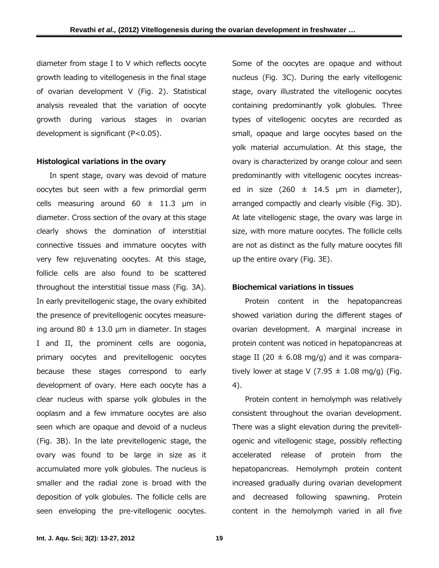diameter from stage I to V which reflects oocyte growth leading to vitellogenesis in the final stage of ovarian development V (Fig. 2). Statistical analysis revealed that the variation of oocyte growth during various stages in ovarian development is significant (P<0.05).

## **Histological variations in the ovary**

In spent stage, ovary was devoid of mature oocytes but seen with a few primordial germ cells measuring around  $60 \pm 11.3$  µm in diameter. Cross section of the ovary at this stage clearly shows the domination of interstitial connective tissues and immature oocytes with very few rejuvenating oocytes. At this stage, follicle cells are also found to be scattered throughout the interstitial tissue mass (Fig. 3A). In early previtellogenic stage, the ovary exhibited the presence of previtellogenic oocytes measureing around 80  $\pm$  13.0 µm in diameter. In stages I and II, the prominent cells are oogonia, primary oocytes and previtellogenic oocytes because these stages correspond to early development of ovary. Here each oocyte has a clear nucleus with sparse yolk globules in the ooplasm and a few immature oocytes are also seen which are opaque and devoid of a nucleus (Fig. 3B). In the late previtellogenic stage, the ovary was found to be large in size as it accumulated more yolk globules. The nucleus is smaller and the radial zone is broad with the deposition of yolk globules. The follicle cells are seen enveloping the pre-vitellogenic oocytes.

Some of the oocytes are opaque and without nucleus (Fig. 3C). During the early vitellogenic stage, ovary illustrated the vitellogenic oocytes containing predominantly yolk globules. Three types of vitellogenic oocytes are recorded as small, opaque and large oocytes based on the yolk material accumulation. At this stage, the ovary is characterized by orange colour and seen predominantly with vitellogenic oocytes increased in size  $(260 \pm 14.5 \mu m)$  in diameter), arranged compactly and clearly visible (Fig. 3D). At late vitellogenic stage, the ovary was large in size, with more mature oocytes. The follicle cells are not as distinct as the fully mature oocytes fill up the entire ovary (Fig. 3E).

## **Biochemical variations in tissues**

Protein content in the hepatopancreas showed variation during the different stages of ovarian development. A marginal increase in protein content was noticed in hepatopancreas at stage II (20  $\pm$  6.08 mg/g) and it was comparatively lower at stage V (7.95  $\pm$  1.08 mg/g) (Fig. 4).

Protein content in hemolymph was relatively consistent throughout the ovarian development. There was a slight elevation during the previtellogenic and vitellogenic stage, possibly reflecting accelerated release of protein from the hepatopancreas. Hemolymph protein content increased gradually during ovarian development and decreased following spawning. Protein content in the hemolymph varied in all five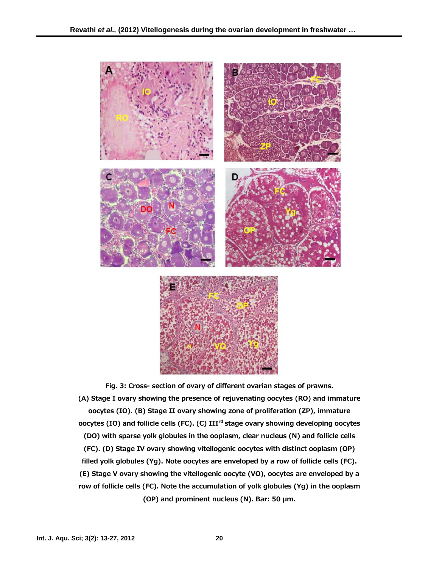

**Fig. 3: Cross- section of ovary of different ovarian stages of prawns. (A) Stage I ovary showing the presence of rejuvenating oocytes (RO) and immature oocytes (IO). (B) Stage II ovary showing zone of proliferation (ZP), immature oocytes (IO) and follicle cells (FC). (C) III<sup>rd</sup> stage ovary showing developing oocytes (DO) with sparse yolk globules in the ooplasm, clear nucleus (N) and follicle cells (FC). (D) Stage IV ovary showing vitellogenic oocytes with distinct ooplasm (OP) filled yolk globules (Yg). Note oocytes are enveloped by a row of follicle cells (FC). (E) Stage V ovary showing the vitellogenic oocyte (VO), oocytes are enveloped by a row of follicle cells (FC). Note the accumulation of yolk globules (Yg) in the ooplasm (OP) and prominent nucleus (N). Bar: 50 µm.**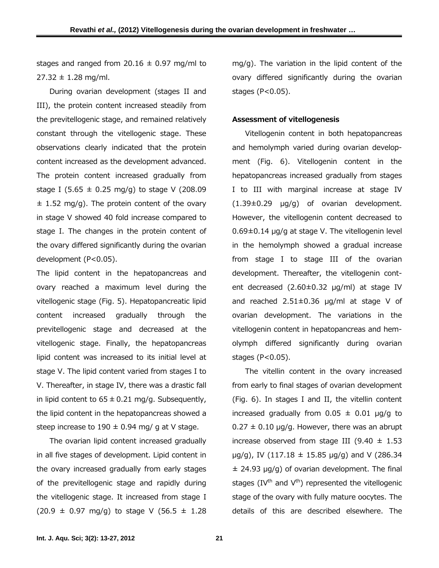stages and ranged from 20.16  $\pm$  0.97 mg/ml to  $27.32 \pm 1.28$  mg/ml.

During ovarian development (stages II and III), the protein content increased steadily from the previtellogenic stage, and remained relatively constant through the vitellogenic stage. These observations clearly indicated that the protein content increased as the development advanced. The protein content increased gradually from stage I (5.65  $\pm$  0.25 mg/g) to stage V (208.09  $\pm$  1.52 mg/g). The protein content of the ovary in stage V showed 40 fold increase compared to stage I. The changes in the protein content of the ovary differed significantly during the ovarian development (P<0.05).

The lipid content in the hepatopancreas and ovary reached a maximum level during the vitellogenic stage (Fig. 5). Hepatopancreatic lipid content increased gradually through the previtellogenic stage and decreased at the vitellogenic stage. Finally, the hepatopancreas lipid content was increased to its initial level at stage V. The lipid content varied from stages I to V. Thereafter, in stage IV, there was a drastic fall in lipid content to  $65 \pm 0.21$  mg/g. Subsequently, the lipid content in the hepatopancreas showed a steep increase to  $190 \pm 0.94$  mg/ g at V stage.

The ovarian lipid content increased gradually in all five stages of development. Lipid content in the ovary increased gradually from early stages of the previtellogenic stage and rapidly during the vitellogenic stage. It increased from stage I  $(20.9 \pm 0.97 \text{ mg/q})$  to stage V  $(56.5 \pm 1.28$ 

mg/g). The variation in the lipid content of the ovary differed significantly during the ovarian stages (P<0.05).

#### **Assessment of vitellogenesis**

Vitellogenin content in both hepatopancreas and hemolymph varied during ovarian development (Fig. 6). Vitellogenin content in the hepatopancreas increased gradually from stages I to III with marginal increase at stage IV  $(1.39\pm0.29 \mu g/g)$  of ovarian development. However, the vitellogenin content decreased to  $0.69\pm0.14$  µg/g at stage V. The vitellogenin level in the hemolymph showed a gradual increase from stage I to stage III of the ovarian development. Thereafter, the vitellogenin content decreased (2.60±0.32 µg/ml) at stage IV and reached  $2.51\pm0.36$  µg/ml at stage V of ovarian development. The variations in the vitellogenin content in hepatopancreas and hemolymph differed significantly during ovarian stages (P<0.05).

The vitellin content in the ovary increased from early to final stages of ovarian development (Fig. 6). In stages I and II, the vitellin content increased gradually from  $0.05 \pm 0.01$  µg/g to  $0.27 \pm 0.10$  µg/g. However, there was an abrupt increase observed from stage III (9.40  $\pm$  1.53  $\mu$ g/g), IV (117.18  $\pm$  15.85  $\mu$ g/g) and V (286.34  $±$  24.93  $\mu$ g/g) of ovarian development. The final stages (IV<sup>th</sup> and V<sup>th</sup>) represented the vitellogenic stage of the ovary with fully mature oocytes. The details of this are described elsewhere. The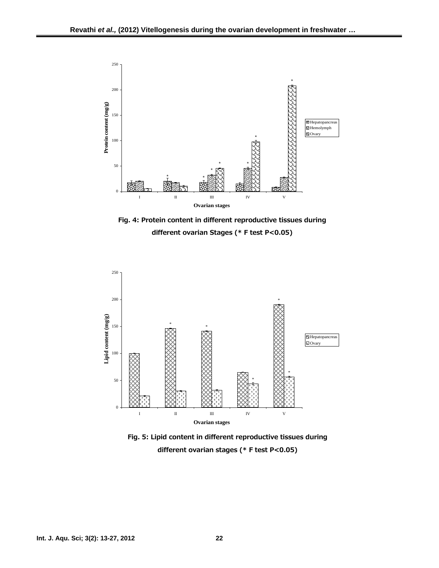

**Fig. 4: Protein content in different reproductive tissues during different ovarian Stages (\* F test P<0.05)** 



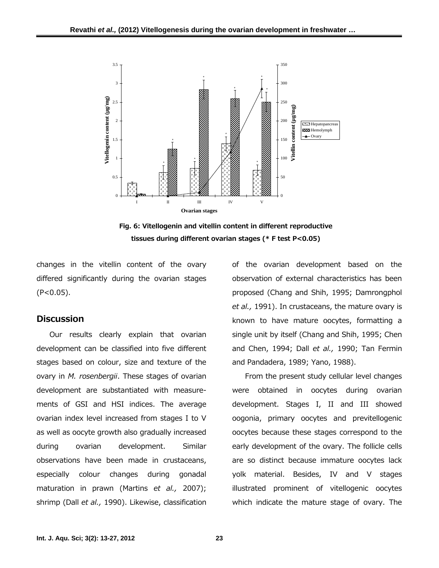



changes in the vitellin content of the ovary differed significantly during the ovarian stages  $(P<0.05)$ .

## **Discussion**

Our results clearly explain that ovarian development can be classified into five different stages based on colour, size and texture of the ovary in *M. rosenbergii*. These stages of ovarian development are substantiated with measurements of GSI and HSI indices. The average ovarian index level increased from stages I to V as well as oocyte growth also gradually increased during ovarian development. Similar observations have been made in crustaceans, especially colour changes during gonadal maturation in prawn (Martins *et al.,* 2007); shrimp (Dall *et al.,* 1990). Likewise, classification

of the ovarian development based on the observation of external characteristics has been proposed (Chang and Shih, 1995; Damrongphol *et al.,* 1991). In crustaceans, the mature ovary is known to have mature oocytes, formatting a single unit by itself (Chang and Shih, 1995; Chen and Chen, 1994; Dall *et al.,* 1990; Tan Fermin and Pandadera, 1989; Yano, 1988).

From the present study cellular level changes were obtained in oocytes during ovarian development. Stages I, II and III showed oogonia, primary oocytes and previtellogenic oocytes because these stages correspond to the early development of the ovary. The follicle cells are so distinct because immature oocytes lack yolk material. Besides, IV and V stages illustrated prominent of vitellogenic oocytes which indicate the mature stage of ovary. The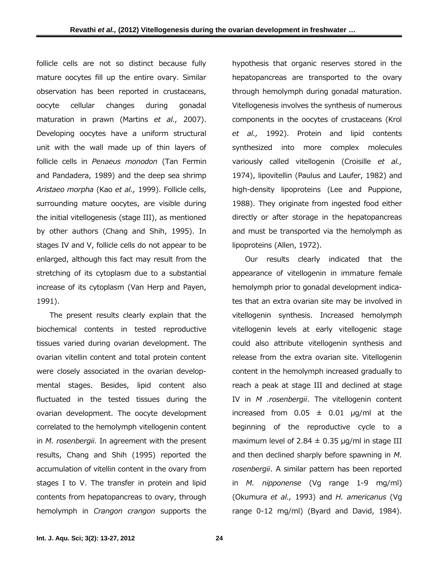follicle cells are not so distinct because fully mature oocytes fill up the entire ovary. Similar observation has been reported in crustaceans, oocyte cellular changes during gonadal maturation in prawn (Martins *et al.,* 2007). Developing oocytes have a uniform structural unit with the wall made up of thin layers of follicle cells in *Penaeus monodon* (Tan Fermin and Pandadera, 1989) and the deep sea shrimp *Aristaeo morpha* (Kao *et al.,* 1999). Follicle cells, surrounding mature oocytes, are visible during the initial vitellogenesis (stage III), as mentioned by other authors (Chang and Shih, 1995). In stages IV and V, follicle cells do not appear to be enlarged, although this fact may result from the stretching of its cytoplasm due to a substantial increase of its cytoplasm (Van Herp and Payen, 1991).

The present results clearly explain that the biochemical contents in tested reproductive tissues varied during ovarian development. The ovarian vitellin content and total protein content were closely associated in the ovarian developmental stages. Besides, lipid content also fluctuated in the tested tissues during the ovarian development. The oocyte development correlated to the hemolymph vitellogenin content in *M. rosenbergii.* In agreement with the present results, Chang and Shih (1995) reported the accumulation of vitellin content in the ovary from stages I to V. The transfer in protein and lipid contents from hepatopancreas to ovary, through hemolymph in *Crangon crangon* supports the

hypothesis that organic reserves stored in the hepatopancreas are transported to the ovary through hemolymph during gonadal maturation. Vitellogenesis involves the synthesis of numerous components in the oocytes of crustaceans (Krol *et al.,* 1992). Protein and lipid contents synthesized into more complex molecules variously called vitellogenin (Croisille *et al.,* 1974), lipovitellin (Paulus and Laufer, 1982) and high-density lipoproteins (Lee and Puppione, 1988). They originate from ingested food either directly or after storage in the hepatopancreas and must be transported via the hemolymph as lipoproteins (Allen, 1972).

Our results clearly indicated that the appearance of vitellogenin in immature female hemolymph prior to gonadal development indicates that an extra ovarian site may be involved in vitellogenin synthesis. Increased hemolymph vitellogenin levels at early vitellogenic stage could also attribute vitellogenin synthesis and release from the extra ovarian site. Vitellogenin content in the hemolymph increased gradually to reach a peak at stage III and declined at stage IV in *M .rosenbergii*. The vitellogenin content increased from  $0.05 \pm 0.01$  µg/ml at the beginning of the reproductive cycle to a maximum level of 2.84  $\pm$  0.35 µg/ml in stage III and then declined sharply before spawning in *M. rosenbergii*. A similar pattern has been reported in *M. nipponense* (Vg range 1-9 mg/ml) (Okumura *et al.,* 1993) and *H. americanus* (Vg range 0-12 mg/ml) (Byard and David, 1984).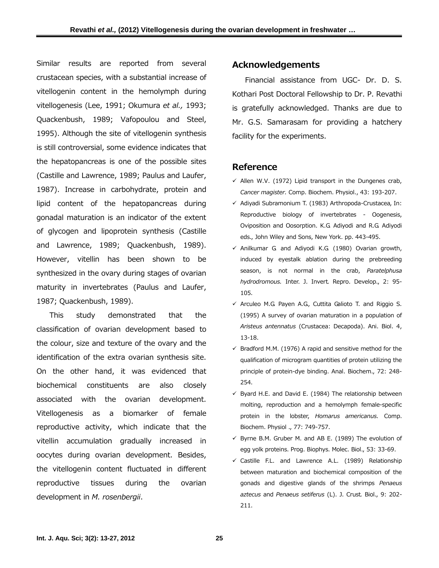Similar results are reported from several crustacean species, with a substantial increase of vitellogenin content in the hemolymph during vitellogenesis (Lee, 1991; Okumura *et al.,* 1993; Quackenbush, 1989; Vafopoulou and Steel, 1995). Although the site of vitellogenin synthesis is still controversial, some evidence indicates that the hepatopancreas is one of the possible sites (Castille and Lawrence, 1989; Paulus and Laufer, 1987). Increase in carbohydrate, protein and lipid content of the hepatopancreas during gonadal maturation is an indicator of the extent of glycogen and lipoprotein synthesis (Castille and Lawrence, 1989; Quackenbush, 1989). However, vitellin has been shown to be synthesized in the ovary during stages of ovarian maturity in invertebrates (Paulus and Laufer, 1987; Quackenbush, 1989).

This study demonstrated that the classification of ovarian development based to the colour, size and texture of the ovary and the identification of the extra ovarian synthesis site. On the other hand, it was evidenced that biochemical constituents are also closely associated with the ovarian development. Vitellogenesis as a biomarker of female reproductive activity, which indicate that the vitellin accumulation gradually increased in oocytes during ovarian development. Besides, the vitellogenin content fluctuated in different reproductive tissues during the ovarian development in *M. rosenbergii*.

# **Acknowledgements**

Financial assistance from UGC- Dr. D. S. Kothari Post Doctoral Fellowship to Dr. P. Revathi is gratefully acknowledged. Thanks are due to Mr. G.S. Samarasam for providing a hatchery facility for the experiments.

# **Reference**

- $\checkmark$  Allen W.V. (1972) Lipid transport in the Dungenes crab, *Cancer magister.* Comp. Biochem. Physiol., 43: 193-207.
- $\checkmark$  Adiyadi Subramonium T. (1983) Arthropoda-Crustacea, In: Reproductive biology of invertebrates - Oogenesis, Oviposition and Oosorption. K.G. Adiyodi and R.G. Adiyodi eds., John Wiley and Sons, New York. pp. 443-495.
- $\checkmark$  Anilkumar G and Adiyodi K.G. (1980) Ovarian growth, induced by eyestalk ablation during the prebreeding season, is not normal in the crab, *Paratelphusa hydrodromous.* Inter. J. Invert. Repro. Develop., 2: 95- 105.
- $\checkmark$  Arculeo M.G. Payen A.G., Cuttita Galioto T. and Riggio S. (1995) A survey of ovarian maturation in a population of *Aristeus antennatus* (Crustacea: Decapoda). Ani. Biol. 4, 13-18.
- $\checkmark$  Bradford M.M. (1976) A rapid and sensitive method for the qualification of microgram quantities of protein utilizing the principle of protein-dye binding. Anal. Biochem., 72: 248- 254.
- $\checkmark$  Byard H.E. and David E. (1984) The relationship between molting, reproduction and a hemolymph female-specific protein in the lobster, *Homarus americanus.* Comp. Biochem. Physiol ., 77: 749-757.
- $\checkmark$  Byrne B.M. Gruber M. and AB E. (1989) The evolution of egg yolk proteins. Prog. Biophys. Molec. Biol., 53: 33-69.
- $\checkmark$  Castille F.L. and Lawrence A.L. (1989) Relationship between maturation and biochemical composition of the gonads and digestive glands of the shrimps *Penaeus aztecus* and *Penaeus setiferus* (L). J. Crust. Biol., 9: 202- 211.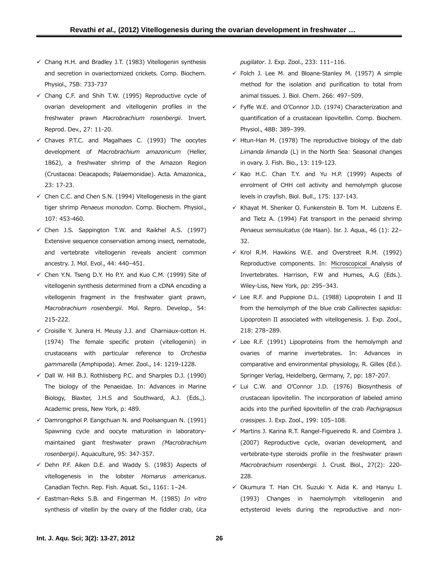- $\checkmark$  Chang H.H. and Bradley J.T. (1983) Vitellogenin synthesis and secretion in ovariectomized crickets. Comp. Biochem. Physiol., 75B: 733-737
- $\checkmark$  Chang C.F. and Shih T.W. (1995) Reproductive cycle of ovarian development and vitellogenin profiles in the freshwater prawn *Macrobrachium rosenbergii*. Invert. Reprod. Dev., 27: 11-20.
- $\checkmark$  Chaves P.T.C. and Magalhaes C. (1993) The oocytes development of *Macrobrachium amazonicum* (Heller, 1862), a freshwater shrimp of the Amazon Region (Crustacea: Deacapods; Palaemonidae). Acta. Amazonica., 23: 17-23.
- $\checkmark$  Chen C.C. and Chen S.N. (1994) Vitellogenesis in the giant tiger shrimp *Penaeus monodon*. Comp. Biochem. Physiol., 107: 453-460.
- $\checkmark$  Chen J.S. Sappington T.W. and Raikhel A.S. (1997) Extensive sequence conservation among insect, nematode, and vertebrate vitellogenin reveals ancient common ancestry. J. Mol. Evol., 44: 440–451.
- $\checkmark$  Chen Y.N. Tseng D.Y. Ho P.Y. and Kuo C.M. (1999) Site of vitellogenin synthesis determined from a cDNA encoding a vitellogenin fragment in the freshwater giant prawn, *Macrobrachium rosenbergii*. Mol. Repro. Develop., 54: 215-222.
- $\checkmark$  Croisille Y. Junera H. Meusy J.J. and Charniaux-cotton H. (1974) The female specific protein (vitellogenin) in crustaceans with particular reference to *Orchestia gammarella* (Amphipoda). Amer. Zool., 14: 1219-1228.
- $\checkmark$  Dall W. Hill B.J. Rothlisberg P.C. and Sharples D.J. (1990) The biology of the Penaeidae. In: Advances in Marine Biology, Blaxter, J.H.S and Southward, A.J. (Eds.,). Academic press, New York, p: 489.
- $\checkmark$  Damrongphol P. Eangchuan N. and Poolsanguan N. (1991) Spawning cycle and oocyte maturation in laboratorymaintained giant freshwater prawn *(Macrobrachium rosenbergii)*. Aquaculture, 95: 347-357.
- $\checkmark$  Dehn P.F. Aiken D.E. and Waddy S. (1983) Aspects of vitellogenesis in the lobster *Homarus americanus*. Canadian Techn. Rep. Fish. Aquat. Sci., 1161: 1–24.
- 9 Eastman-Reks S.B. and Fingerman M. (1985) *In vitro* synthesis of vitellin by the ovary of the fiddler crab, *Uca*

*pugilator*. J. Exp. Zool., 233: 111–116.

- $\checkmark$  Folch J. Lee M. and Bloane-Stanley M. (1957) A simple method for the isolation and purification to total from animal tissues. J. Biol. Chem. 266: 497–509.
- $\checkmark$  Fyffe W.E. and O'Connor J.D. (1974) Characterization and quantification of a crustacean lipovitellin. Comp. Biochem. Physiol., 48B: 389–399.
- $\checkmark$  Htun-Han M. (1978) The reproductive biology of the dab *Limanda limanda* (L) in the North Sea: Seasonal changes in ovary. J. Fish. Bio., 13: 119-123.
- 9 Kao H.C. Chan T.Y. and Yu H.P. (1999) Aspects of enrolment of CHH cell activity and hemolymph glucose levels in crayfish. Biol. Bull., 175: 137-143.
- $\checkmark$  Khayat M. Shenker O. Funkenstein B. Tom M. Lubzens E. and Tietz A. (1994) Fat transport in the penaeid shrimp *Penaeus semisulcatus* (de Haan). Isr. J. Aqua., 46 (1): 22– 32.
- $\checkmark$  Krol R.M. Hawkins W.E. and Overstreet R.M. (1992) Reproductive components. In: Microscopical Analysis of Invertebrates. Harrison, F.W and Humes, A.G (Eds.). Wiley-Liss, New York, pp: 295–343.
- $\checkmark$  Lee R.F. and Puppione D.L. (1988) Lipoprotein I and II from the hemolymph of the blue crab *Callinectes sapidus*: Lipoprotein II associated with vitellogenesis. J. Exp. Zool., 218: 278–289.
- $\checkmark$  Lee R.F. (1991) Lipoproteins from the hemolymph and ovaries of marine invertebrates. In: Advances in comparative and environmental physiology, R. Gilles (Ed.). Springer Verlag, Heidelberg, Germany, 7, pp: 187-207.
- $\checkmark$  Lui C.W. and O'Connor J.D. (1976) Biosynthesis of crustacean lipovitellin. The incorporation of labeled amino acids into the purified lipovitellin of the crab *Pachigrapsus crassipes*. J. Exp. Zool., 199: 105–108.
- $\checkmark$  Martins J. Karina R.T. Rangel-Figueiredo R. and Coimbra J. (2007) Reproductive cycle, ovarian development, and vertebrate-type steroids profile in the freshwater prawn *Macrobrachium rosenbergii.* J. Crust. Biol., 27(2): 220- 228.
- $\checkmark$  Okumura T. Han CH. Suzuki Y. Aida K. and Hanyu I. (1993) Changes in haemolymph vitellogenin and ectysteroid levels during the reproductive and non-